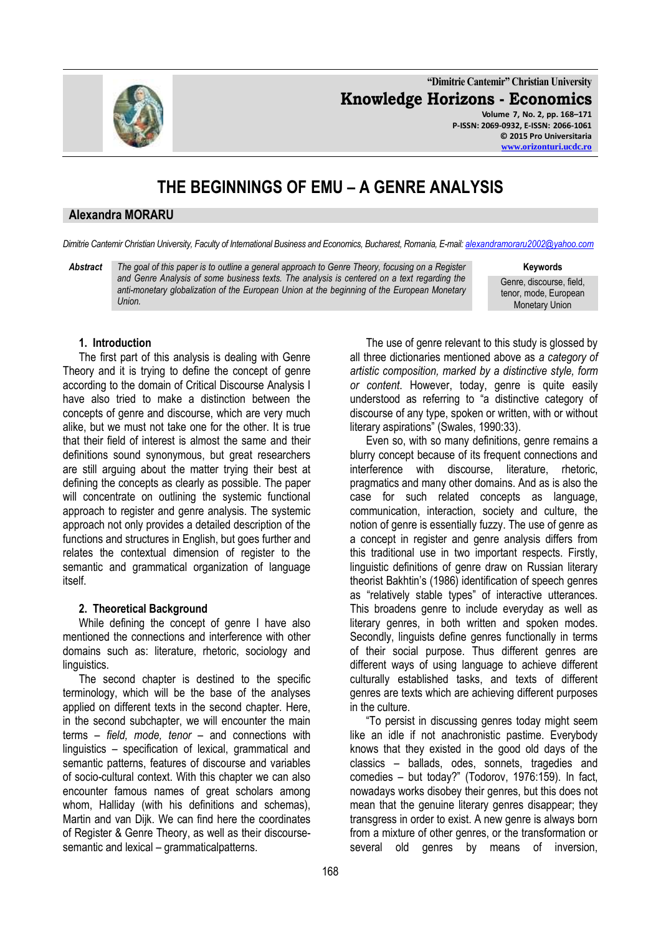**"Dimitrie Cantemir" Christian University Knowledge Horizons - Economics Volume 7, No. 2, pp. 168–171 P-ISSN: 2069-0932, E-ISSN: 2066-1061 © 2015 Pro Universitaria**

# **THE BEGINNINGS OF EMU – A GENRE ANALYSIS**

## **Alexandra MORARU**

*Dimitrie Cantemir Christian University, Faculty of International Business and Economics, Bucharest, Romania, E-mail: [alexandramoraru2002@yahoo.com](mailto:alexandramoraru2002@yahoo.com)*

*Abstract The goal of this paper is to outline a general approach to Genre Theory, focusing on a Register and Genre Analysis of some business texts. The analysis is centered on a text regarding the anti-monetary globalization of the European Union at the beginning of the European Monetary Union.* 

#### **Keywords**

Genre, discourse, field, tenor, mode, European Monetary Union

### **1. Introduction**

The first part of this analysis is dealing with Genre Theory and it is trying to define the concept of genre according to the domain of Critical Discourse Analysis I have also tried to make a distinction between the concepts of genre and discourse, which are very much alike, but we must not take one for the other. It is true that their field of interest is almost the same and their definitions sound synonymous, but great researchers are still arguing about the matter trying their best at defining the concepts as clearly as possible. The paper will concentrate on outlining the systemic functional approach to register and genre analysis. The systemic approach not only provides a detailed description of the functions and structures in English, but goes further and relates the contextual dimension of register to the semantic and grammatical organization of language itself.

### **2. Theoretical Background**

While defining the concept of genre I have also mentioned the connections and interference with other domains such as: literature, rhetoric, sociology and linguistics.

The second chapter is destined to the specific terminology, which will be the base of the analyses applied on different texts in the second chapter. Here, in the second subchapter, we will encounter the main terms – *field, mode, tenor* – and connections with linguistics – specification of lexical, grammatical and semantic patterns, features of discourse and variables of socio-cultural context. With this chapter we can also encounter famous names of great scholars among whom, Halliday (with his definitions and schemas), Martin and van Dijk. We can find here the coordinates of Register & Genre Theory, as well as their discoursesemantic and lexical – grammaticalpatterns.

The use of genre relevant to this study is glossed by all three dictionaries mentioned above as *a category of artistic composition, marked by a distinctive style, form or content*. However, today, genre is quite easily understood as referring to "a distinctive category of discourse of any type, spoken or written, with or without literary aspirations" (Swales, 1990:33).

Even so, with so many definitions, genre remains a blurry concept because of its frequent connections and interference with discourse, literature, rhetoric, pragmatics and many other domains. And as is also the case for such related concepts as language, communication, interaction, society and culture, the notion of genre is essentially fuzzy. The use of genre as a concept in register and genre analysis differs from this traditional use in two important respects. Firstly, linguistic definitions of genre draw on Russian literary theorist Bakhtin's (1986) identification of speech genres as "relatively stable types" of interactive utterances. This broadens genre to include everyday as well as literary genres, in both written and spoken modes. Secondly, linguists define genres functionally in terms of their social purpose. Thus different genres are different ways of using language to achieve different culturally established tasks, and texts of different genres are texts which are achieving different purposes in the culture.

"To persist in discussing genres today might seem like an idle if not anachronistic pastime. Everybody knows that they existed in the good old days of the classics – ballads, odes, sonnets, tragedies and comedies – but today?" (Todorov, 1976:159). In fact, nowadays works disobey their genres, but this does not mean that the genuine literary genres disappear; they transgress in order to exist. A new genre is always born from a mixture of other genres, or the transformation or several old genres by means of inversion,

168

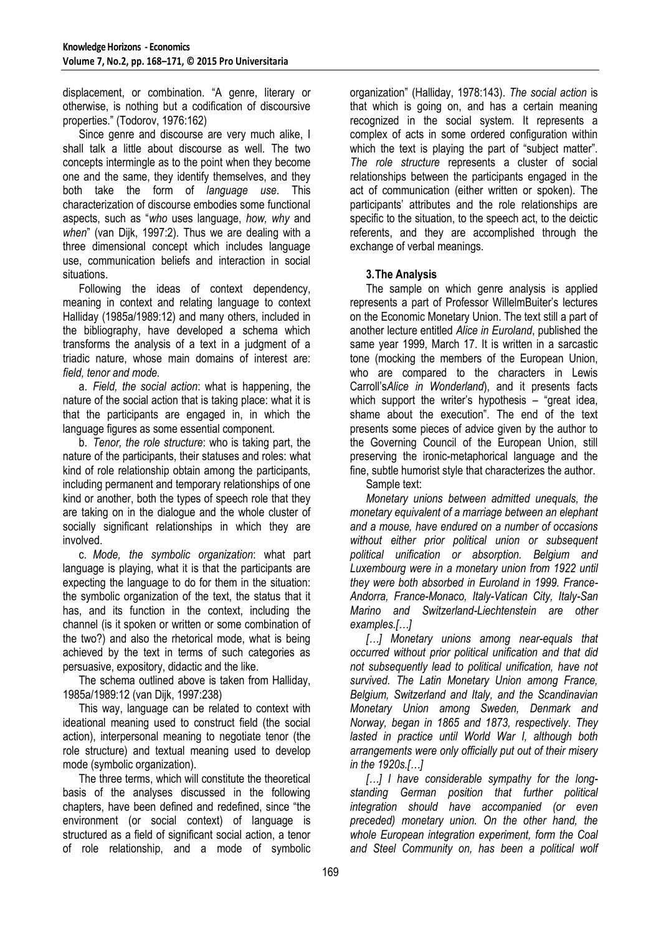displacement, or combination. "A genre, literary or otherwise, is nothing but a codification of discoursive properties." (Todorov, 1976:162)

Since genre and discourse are very much alike, I shall talk a little about discourse as well. The two concepts intermingle as to the point when they become one and the same, they identify themselves, and they both take the form of *language use*. This characterization of discourse embodies some functional aspects, such as "*who* uses language, *how, why* and *when*" (van Dijk, 1997:2)*.* Thus we are dealing with a three dimensional concept which includes language use, communication beliefs and interaction in social situations.

Following the ideas of context dependency, meaning in context and relating language to context Halliday (1985a/1989:12) and many others, included in the bibliography, have developed a schema which transforms the analysis of a text in a judgment of a triadic nature, whose main domains of interest are: *field, tenor and mode.*

a. *Field, the social action*: what is happening, the nature of the social action that is taking place: what it is that the participants are engaged in, in which the language figures as some essential component.

b. *Tenor, the role structure*: who is taking part, the nature of the participants, their statuses and roles: what kind of role relationship obtain among the participants, including permanent and temporary relationships of one kind or another, both the types of speech role that they are taking on in the dialogue and the whole cluster of socially significant relationships in which they are involved.

c. *Mode, the symbolic organization*: what part language is playing, what it is that the participants are expecting the language to do for them in the situation: the symbolic organization of the text, the status that it has, and its function in the context, including the channel (is it spoken or written or some combination of the two?) and also the rhetorical mode, what is being achieved by the text in terms of such categories as persuasive, expository, didactic and the like.

The schema outlined above is taken from Halliday, 1985a/1989:12 (van Dijk, 1997:238)

This way, language can be related to context with ideational meaning used to construct field (the social action), interpersonal meaning to negotiate tenor (the role structure) and textual meaning used to develop mode (symbolic organization).

The three terms, which will constitute the theoretical basis of the analyses discussed in the following chapters, have been defined and redefined, since "the environment (or social context) of language is structured as a field of significant social action, a tenor of role relationship, and a mode of symbolic

organization" (Halliday, 1978:143). *The social action* is that which is going on, and has a certain meaning recognized in the social system. It represents a complex of acts in some ordered configuration within which the text is playing the part of "subject matter". *The role structure* represents a cluster of social relationships between the participants engaged in the act of communication (either written or spoken). The participants' attributes and the role relationships are specific to the situation, to the speech act, to the deictic referents, and they are accomplished through the exchange of verbal meanings.

# **3.The Analysis**

The sample on which genre analysis is applied represents a part of Professor WillelmBuiter's lectures on the Economic Monetary Union. The text still a part of another lecture entitled *Alice in Euroland*, published the same year 1999, March 17. It is written in a sarcastic tone (mocking the members of the European Union, who are compared to the characters in Lewis Carroll's*Alice in Wonderland*), and it presents facts which support the writer's hypothesis – "great idea, shame about the execution". The end of the text presents some pieces of advice given by the author to the Governing Council of the European Union, still preserving the ironic-metaphorical language and the fine, subtle humorist style that characterizes the author.

Sample text:

*Monetary unions between admitted unequals, the monetary equivalent of a marriage between an elephant and a mouse, have endured on a number of occasions without either prior political union or subsequent political unification or absorption. Belgium and Luxembourg were in a monetary union from 1922 until they were both absorbed in Euroland in 1999. France-Andorra, France-Monaco, Italy-Vatican City, Italy-San Marino and Switzerland-Liechtenstein are other examples.[…]*

*[…] Monetary unions among near-equals that occurred without prior political unification and that did not subsequently lead to political unification, have not survived. The Latin Monetary Union among France, Belgium, Switzerland and Italy, and the Scandinavian Monetary Union among Sweden, Denmark and Norway, began in 1865 and 1873, respectively. They lasted in practice until World War I, although both arrangements were only officially put out of their misery in the 1920s.[…]*

*[…] I have considerable sympathy for the longstanding German position that further political integration should have accompanied (or even preceded) monetary union. On the other hand, the whole European integration experiment, form the Coal and Steel Community on, has been a political wolf*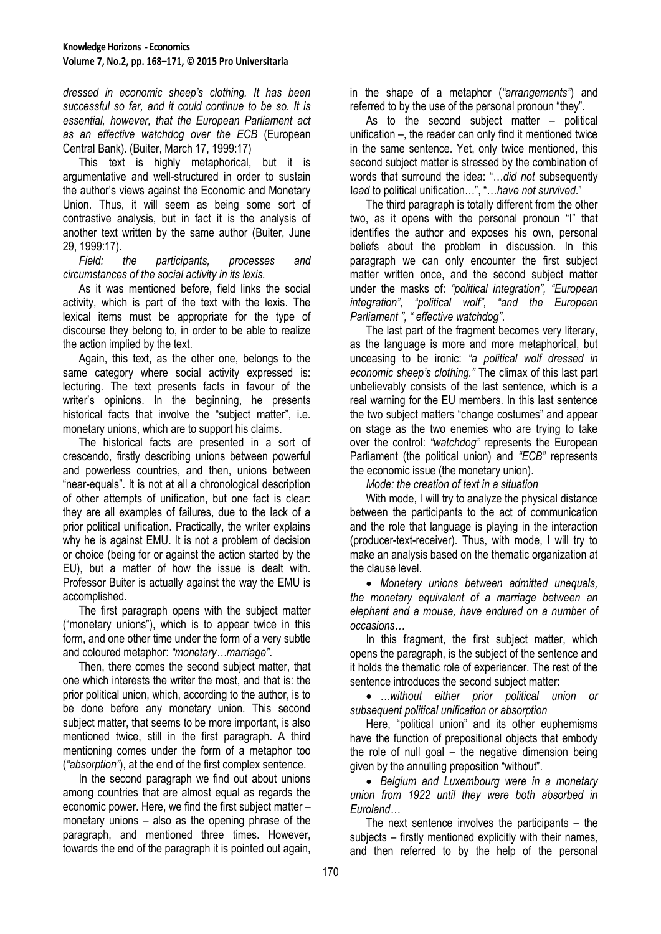*dressed in economic sheep's clothing. It has been successful so far, and it could continue to be so. It is essential, however, that the European Parliament act as an effective watchdog over the ECB* (European Central Bank). (Buiter, March 17, 1999:17)

This text is highly metaphorical, but it is argumentative and well-structured in order to sustain the author's views against the Economic and Monetary Union. Thus, it will seem as being some sort of contrastive analysis, but in fact it is the analysis of another text written by the same author (Buiter, June 29, 1999:17).

*Field: the participants, processes and circumstances of the social activity in its lexis.*

As it was mentioned before, field links the social activity, which is part of the text with the lexis. The lexical items must be appropriate for the type of discourse they belong to, in order to be able to realize the action implied by the text.

Again, this text, as the other one, belongs to the same category where social activity expressed is: lecturing. The text presents facts in favour of the writer's opinions. In the beginning, he presents historical facts that involve the "subject matter", i.e. monetary unions, which are to support his claims.

The historical facts are presented in a sort of crescendo, firstly describing unions between powerful and powerless countries, and then, unions between "near-equals". It is not at all a chronological description of other attempts of unification, but one fact is clear: they are all examples of failures, due to the lack of a prior political unification. Practically, the writer explains why he is against EMU. It is not a problem of decision or choice (being for or against the action started by the EU), but a matter of how the issue is dealt with. Professor Buiter is actually against the way the EMU is accomplished.

The first paragraph opens with the subject matter ("monetary unions"), which is to appear twice in this form, and one other time under the form of a very subtle and coloured metaphor: *"monetary…marriage"*.

Then, there comes the second subject matter, that one which interests the writer the most, and that is: the prior political union, which, according to the author, is to be done before any monetary union. This second subject matter, that seems to be more important, is also mentioned twice, still in the first paragraph. A third mentioning comes under the form of a metaphor too (*"absorption"*), at the end of the first complex sentence.

In the second paragraph we find out about unions among countries that are almost equal as regards the economic power. Here, we find the first subject matter – monetary unions – also as the opening phrase of the paragraph, and mentioned three times. However, towards the end of the paragraph it is pointed out again,

in the shape of a metaphor (*"arrangements"*) and referred to by the use of the personal pronoun "they".

As to the second subject matter – political unification –, the reader can only find it mentioned twice in the same sentence. Yet, only twice mentioned, this second subject matter is stressed by the combination of words that surround the idea: "…*did not* subsequently **l***ead* to political unification…", "…*have not survived*."

The third paragraph is totally different from the other two, as it opens with the personal pronoun "I" that identifies the author and exposes his own, personal beliefs about the problem in discussion. In this paragraph we can only encounter the first subject matter written once, and the second subject matter under the masks of: *"political integration", "European integration", "political wolf", "and the European Parliament ", " effective watchdog"*.

The last part of the fragment becomes very literary, as the language is more and more metaphorical, but unceasing to be ironic: *"a political wolf dressed in economic sheep's clothing."* The climax of this last part unbelievably consists of the last sentence, which is a real warning for the EU members. In this last sentence the two subject matters "change costumes" and appear on stage as the two enemies who are trying to take over the control: *"watchdog"* represents the European Parliament (the political union) and *"ECB"* represents the economic issue (the monetary union).

*Mode: the creation of text in a situation*

With mode, I will try to analyze the physical distance between the participants to the act of communication and the role that language is playing in the interaction (producer-text-receiver). Thus, with mode, I will try to make an analysis based on the thematic organization at the clause level.

 *Monetary unions between admitted unequals, the monetary equivalent of a marriage between an elephant and a mouse, have endured on a number of occasions…*

In this fragment, the first subject matter, which opens the paragraph, is the subject of the sentence and it holds the thematic role of experiencer. The rest of the sentence introduces the second subject matter:

 *…without either prior political union or subsequent political unification or absorption*

Here, "political union" and its other euphemisms have the function of prepositional objects that embody the role of null goal – the negative dimension being given by the annulling preposition "without".

 *Belgium and Luxembourg were in a monetary union from 1922 until they were both absorbed in Euroland…*

The next sentence involves the participants – the subjects – firstly mentioned explicitly with their names, and then referred to by the help of the personal